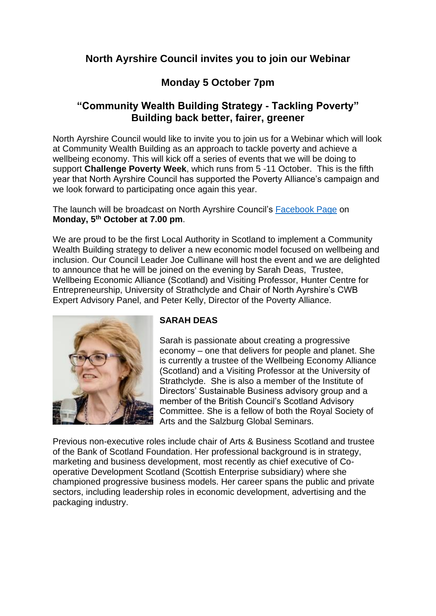## **North Ayrshire Council invites you to join our Webinar**

# **Monday 5 October 7pm**

## **"Community Wealth Building Strategy - Tackling Poverty" Building back better, fairer, greener**

North Ayrshire Council would like to invite you to join us for a Webinar which will look at Community Wealth Building as an approach to tackle poverty and achieve a wellbeing economy. This will kick off a series of events that we will be doing to support **Challenge Poverty Week**, which runs from 5 -11 October. This is the fifth year that North Ayrshire Council has supported the Poverty Alliance's campaign and we look forward to participating once again this year.

The launch will be broadcast on North Ayrshire Council's [Facebook Page](https://www.facebook.com/northayrshireofficial/) on **Monday, 5th October at 7.00 pm**.

We are proud to be the first Local Authority in Scotland to implement a Community Wealth Building strategy to deliver a new economic model focused on wellbeing and inclusion. Our Council Leader Joe Cullinane will host the event and we are delighted to announce that he will be joined on the evening by Sarah Deas, Trustee, Wellbeing Economic Alliance (Scotland) and Visiting Professor, Hunter Centre for Entrepreneurship, University of Strathclyde and Chair of North Ayrshire's CWB Expert Advisory Panel, and Peter Kelly, Director of the Poverty Alliance.



### **SARAH DEAS**

Sarah is passionate about creating a progressive economy – one that delivers for people and planet. She is currently a trustee of the Wellbeing Economy Alliance (Scotland) and a Visiting Professor at the University of Strathclyde. She is also a member of the Institute of Directors' Sustainable Business advisory group and a member of the British Council's Scotland Advisory Committee. She is a fellow of both the Royal Society of Arts and the Salzburg Global Seminars.

Previous non-executive roles include chair of Arts & Business Scotland and trustee of the Bank of Scotland Foundation. Her professional background is in strategy, marketing and business development, most recently as chief executive of Cooperative Development Scotland (Scottish Enterprise subsidiary) where she championed progressive business models. Her career spans the public and private sectors, including leadership roles in economic development, advertising and the packaging industry.